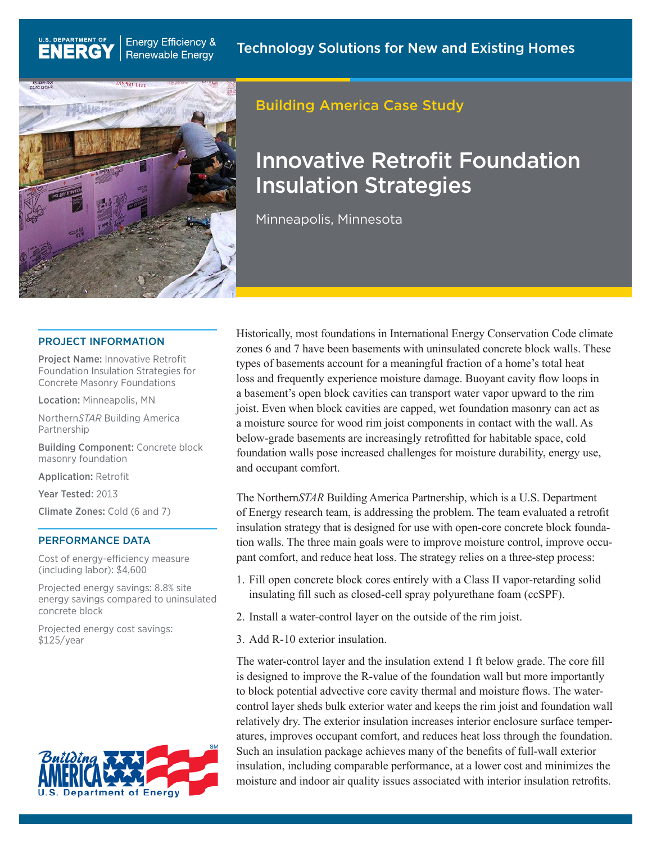

**Energy Efficiency &** 

**Renewable Energy** 

U.S. DEPARTMENT OF

**ENERG** 

# Building America Case Study

# Innovative Retrofit Foundation Insulation Strategies

Minneapolis, Minnesota

### PROJECT INFORMATION

Project Name: Innovative Retrofit Foundation Insulation Strategies for Concrete Masonry Foundations

Location: Minneapolis, MN

Northern*STAR* Building America Partnership

Building Component: Concrete block masonry foundation

Application: Retrofit

Year Tested: 2013

Climate Zones: Cold (6 and 7)

### PERFORMANCE DATA

Cost of energy-efficiency measure (including labor): \$4,600

Projected energy savings: 8.8% site energy savings compared to uninsulated concrete block

Projected energy cost savings: \$125/year



Historically, most foundations in International Energy Conservation Code climate zones 6 and 7 have been basements with uninsulated concrete block walls. These types of basements account for a meaningful fraction of a home's total heat loss and frequently experience moisture damage. Buoyant cavity flow loops in a basement's open block cavities can transport water vapor upward to the rim joist. Even when block cavities are capped, wet foundation masonry can act as a moisture source for wood rim joist components in contact with the wall. As below-grade basements are increasingly retrofitted for habitable space, cold foundation walls pose increased challenges for moisture durability, energy use, and occupant comfort.

The Northern*STAR* Building America Partnership, which is a U.S. Department of Energy research team, is addressing the problem. The team evaluated a retrofit insulation strategy that is designed for use with open-core concrete block foundation walls. The three main goals were to improve moisture control, improve occupant comfort, and reduce heat loss. The strategy relies on a three-step process:

- 1. Fill open concrete block cores entirely with a Class II vapor-retarding solid insulating fill such as closed-cell spray polyurethane foam (ccSPF).
- 2. Install a water-control layer on the outside of the rim joist.
- 3. Add R-10 exterior insulation.

The water-control layer and the insulation extend 1 ft below grade. The core fill is designed to improve the R-value of the foundation wall but more importantly to block potential advective core cavity thermal and moisture flows. The watercontrol layer sheds bulk exterior water and keeps the rim joist and foundation wall relatively dry. The exterior insulation increases interior enclosure surface temperatures, improves occupant comfort, and reduces heat loss through the foundation. Such an insulation package achieves many of the benefits of full-wall exterior insulation, including comparable performance, at a lower cost and minimizes the moisture and indoor air quality issues associated with interior insulation retrofits.